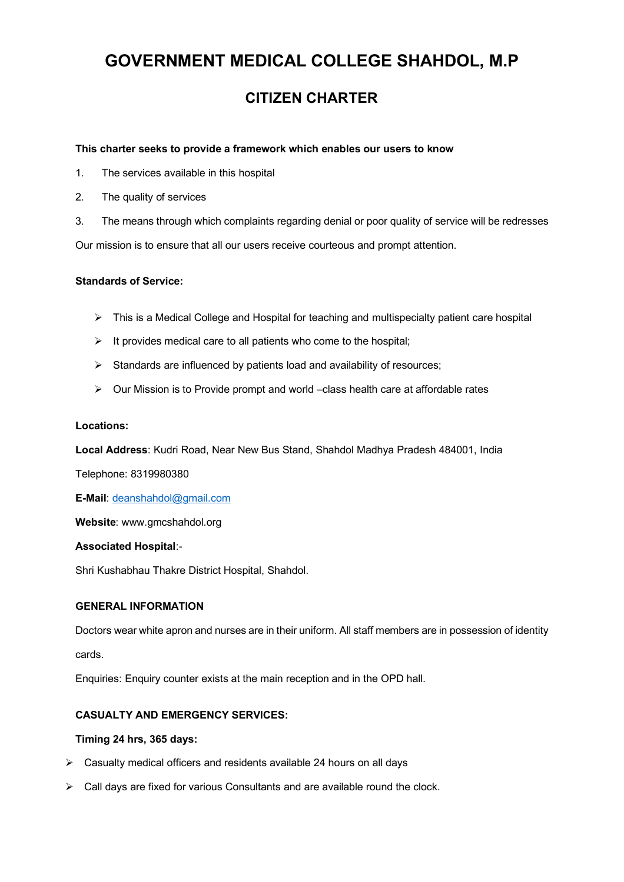# **GOVERNMENT MEDICAL COLLEGE SHAHDOL, M.P**

# **CITIZEN CHARTER**

#### **This charter seeks to provide a framework which enables our users to know**

- 1. The services available in this hospital
- 2. The quality of services
- 3. The means through which complaints regarding denial or poor quality of service will be redresses

Our mission is to ensure that all our users receive courteous and prompt attention.

#### **Standards of Service:**

- $\triangleright$  This is a Medical College and Hospital for teaching and multispecialty patient care hospital
- $\triangleright$  It provides medical care to all patients who come to the hospital;
- $\triangleright$  Standards are influenced by patients load and availability of resources;
- $\triangleright$  Our Mission is to Provide prompt and world –class health care at affordable rates

#### **Locations:**

**Local Address**: Kudri Road, Near New Bus Stand, Shahdol Madhya Pradesh 484001, India

Telephone: 8319980380

**E-Mail**: deanshahdol@gmail.com

**Website**: www.gmcshahdol.org

#### **Associated Hospital**:-

Shri Kushabhau Thakre District Hospital, Shahdol.

#### **GENERAL INFORMATION**

Doctors wear white apron and nurses are in their uniform. All staff members are in possession of identity cards.

Enquiries: Enquiry counter exists at the main reception and in the OPD hall.

### **CASUALTY AND EMERGENCY SERVICES:**

#### **Timing 24 hrs, 365 days:**

- $\triangleright$  Casualty medical officers and residents available 24 hours on all days
- $\triangleright$  Call days are fixed for various Consultants and are available round the clock.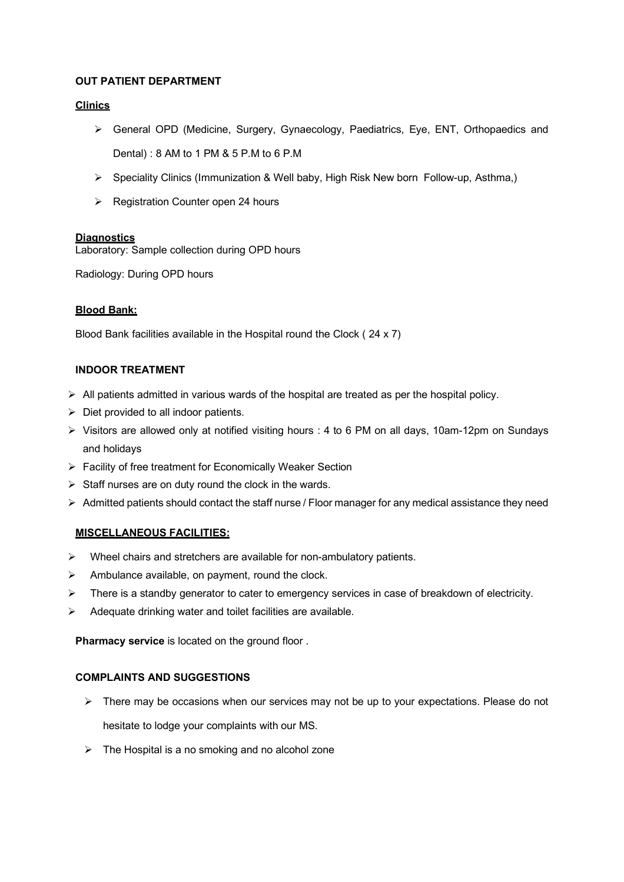# **OUT PATIENT DEPARTMENT**

# **Clinics**

- Ø General OPD (Medicine, Surgery, Gynaecology, Paediatrics, Eye, ENT, Orthopaedics and Dental) : 8 AM to 1 PM & 5 P.M to 6 P.M
- Ø Speciality Clinics (Immunization & Well baby, High Risk New born Follow-up, Asthma,)
- $\triangleright$  Registration Counter open 24 hours

# **Diagnostics**

Laboratory: Sample collection during OPD hours

Radiology: During OPD hours

# **Blood Bank:**

Blood Bank facilities available in the Hospital round the Clock ( 24 x 7)

# **INDOOR TREATMENT**

- $\triangleright$  All patients admitted in various wards of the hospital are treated as per the hospital policy.
- $\triangleright$  Diet provided to all indoor patients.
- $\triangleright$  Visitors are allowed only at notified visiting hours : 4 to 6 PM on all days, 10am-12pm on Sundays and holidays
- $\triangleright$  Facility of free treatment for Economically Weaker Section
- $\triangleright$  Staff nurses are on duty round the clock in the wards.
- $\triangleright$  Admitted patients should contact the staff nurse / Floor manager for any medical assistance they need

### **MISCELLANEOUS FACILITIES:**

- $\triangleright$  Wheel chairs and stretchers are available for non-ambulatory patients.
- $\triangleright$  Ambulance available, on payment, round the clock.
- $\triangleright$  There is a standby generator to cater to emergency services in case of breakdown of electricity.
- Adequate drinking water and toilet facilities are available.

**Pharmacy service** is located on the ground floor .

### **COMPLAINTS AND SUGGESTIONS**

- $\triangleright$  There may be occasions when our services may not be up to your expectations. Please do not hesitate to lodge your complaints with our MS.
- $\triangleright$  The Hospital is a no smoking and no alcohol zone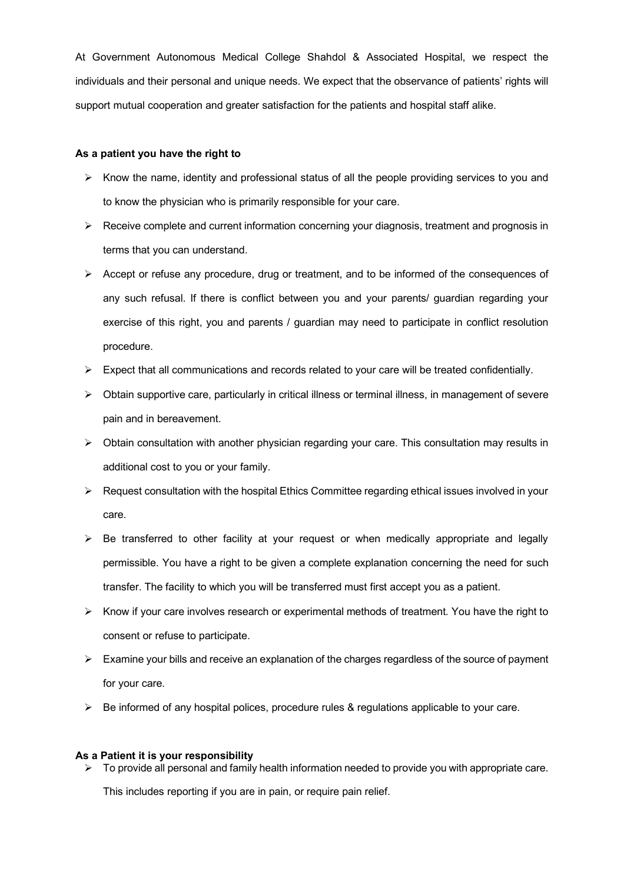At Government Autonomous Medical College Shahdol & Associated Hospital, we respect the individuals and their personal and unique needs. We expect that the observance of patients' rights will support mutual cooperation and greater satisfaction for the patients and hospital staff alike.

#### **As a patient you have the right to**

- $\triangleright$  Know the name, identity and professional status of all the people providing services to you and to know the physician who is primarily responsible for your care.
- $\triangleright$  Receive complete and current information concerning your diagnosis, treatment and prognosis in terms that you can understand.
- $\triangleright$  Accept or refuse any procedure, drug or treatment, and to be informed of the consequences of any such refusal. If there is conflict between you and your parents/ guardian regarding your exercise of this right, you and parents / guardian may need to participate in conflict resolution procedure.
- $\triangleright$  Expect that all communications and records related to your care will be treated confidentially.
- $\triangleright$  Obtain supportive care, particularly in critical illness or terminal illness, in management of severe pain and in bereavement.
- $\triangleright$  Obtain consultation with another physician regarding your care. This consultation may results in additional cost to you or your family.
- $\triangleright$  Request consultation with the hospital Ethics Committee regarding ethical issues involved in your care.
- $\triangleright$  Be transferred to other facility at your request or when medically appropriate and legally permissible. You have a right to be given a complete explanation concerning the need for such transfer. The facility to which you will be transferred must first accept you as a patient.
- $\triangleright$  Know if your care involves research or experimental methods of treatment. You have the right to consent or refuse to participate.
- $\triangleright$  Examine your bills and receive an explanation of the charges regardless of the source of payment for your care.
- $\triangleright$  Be informed of any hospital polices, procedure rules & regulations applicable to your care.

#### **As a Patient it is your responsibility**

 $\triangleright$  To provide all personal and family health information needed to provide you with appropriate care.

This includes reporting if you are in pain, or require pain relief.